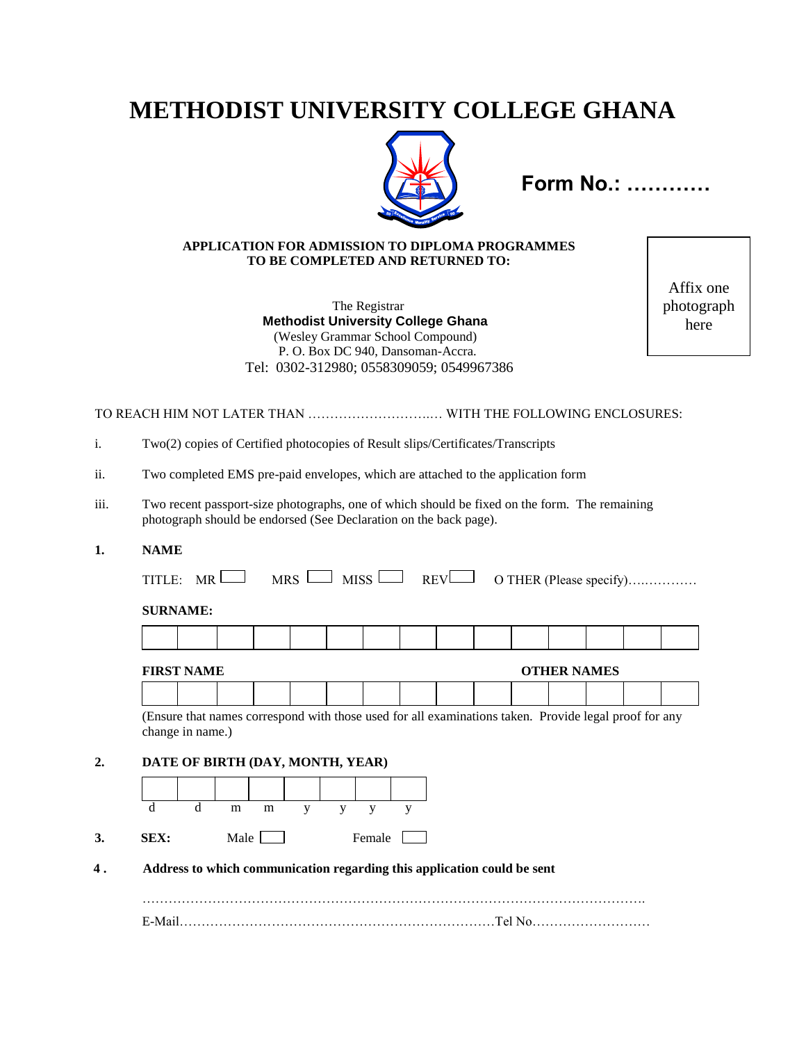# **METHODIST UNIVERSITY COLLEGE GHANA**



**Form No.: …………**

### **APPLICATION FOR ADMISSION TO DIPLOMA PROGRAMMES TO BE COMPLETED AND RETURNED TO:**

 The Registrar  **Methodist University College Ghana** (Wesley Grammar School Compound) P. O. Box DC 940, Dansoman-Accra. Tel: 0302-312980; 0558309059; 0549967386

Affix one photograph here

TO REACH HIM NOT LATER THAN ……………………….… WITH THE FOLLOWING ENCLOSURES:

|  |  |  |  | Two(2) copies of Certified photocopies of Result slips/Certificates/Transcripts |  |
|--|--|--|--|---------------------------------------------------------------------------------|--|
|  |  |  |  |                                                                                 |  |

- ii. Two completed EMS pre-paid envelopes, which are attached to the application form
- iii. Two recent passport-size photographs, one of which should be fixed on the form. The remaining photograph should be endorsed (See Declaration on the back page).
- **1. NAME**

TITLE: MR MRS MISS REV O THER (Please specify)….…………

#### **SURNAME:**

#### **FIRST NAME CONSERVANCE CONSERVANCE**

(Ensure that names correspond with those used for all examinations taken. Provide legal proof for any change in name.)

### **2. DATE OF BIRTH (DAY, MONTH, YEAR)**



 **4 . Address to which communication regarding this application could be sent**

|  | $\mathbf{a}$ |
|--|--------------|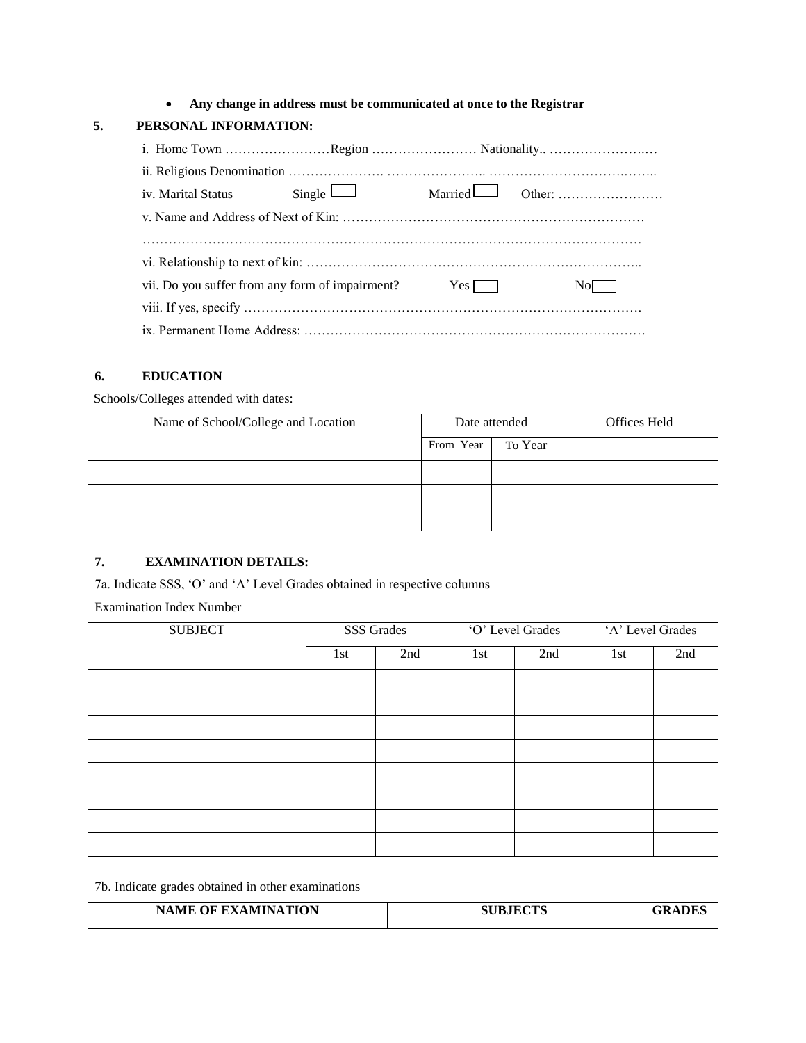**Any change in address must be communicated at once to the Registrar**

## **5. PERSONAL INFORMATION:**

| iv. Marital Status Single $\Box$                             |  |      |
|--------------------------------------------------------------|--|------|
|                                                              |  |      |
|                                                              |  |      |
|                                                              |  |      |
| vii. Do you suffer from any form of impairment? $Yes \frown$ |  | NoL. |
|                                                              |  |      |
|                                                              |  |      |

## **6. EDUCATION**

Schools/Colleges attended with dates:

| Name of School/College and Location |           | Date attended | Offices Held |
|-------------------------------------|-----------|---------------|--------------|
|                                     | From Year | To Year       |              |
|                                     |           |               |              |
|                                     |           |               |              |
|                                     |           |               |              |

# **7. EXAMINATION DETAILS:**

7a. Indicate SSS, 'O' and 'A' Level Grades obtained in respective columns

Examination Index Number

| <b>SUBJECT</b> | SSS Grades |     | O' Level Grades |     | 'A' Level Grades |     |
|----------------|------------|-----|-----------------|-----|------------------|-----|
|                | 1st        | 2nd | 1st             | 2nd | 1st              | 2nd |
|                |            |     |                 |     |                  |     |
|                |            |     |                 |     |                  |     |
|                |            |     |                 |     |                  |     |
|                |            |     |                 |     |                  |     |
|                |            |     |                 |     |                  |     |
|                |            |     |                 |     |                  |     |
|                |            |     |                 |     |                  |     |
|                |            |     |                 |     |                  |     |

7b. Indicate grades obtained in other examinations

| <b>NAME OF EXAMINATION</b> | <b>SUBJECTS</b> | ADES<br>.ZR. |
|----------------------------|-----------------|--------------|
|                            |                 |              |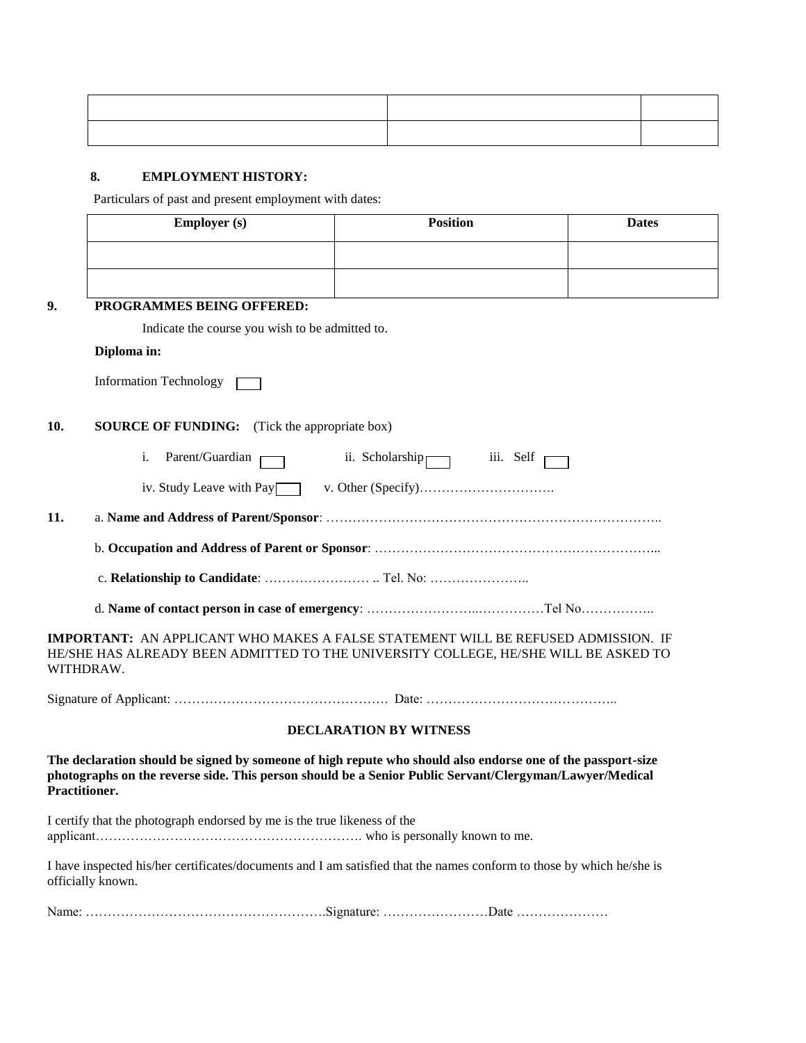## **8. EMPLOYMENT HISTORY:**

Particulars of past and present employment with dates:

|               | <b>Employer</b> (s)                                                                                                                                                                                                    | <b>Position</b>               | <b>Dates</b> |
|---------------|------------------------------------------------------------------------------------------------------------------------------------------------------------------------------------------------------------------------|-------------------------------|--------------|
|               |                                                                                                                                                                                                                        |                               |              |
|               |                                                                                                                                                                                                                        |                               |              |
| 9.            | PROGRAMMES BEING OFFERED:                                                                                                                                                                                              |                               |              |
|               | Indicate the course you wish to be admitted to.                                                                                                                                                                        |                               |              |
|               | Diploma in:                                                                                                                                                                                                            |                               |              |
|               | <b>Information Technology</b>                                                                                                                                                                                          |                               |              |
| 10.           | <b>SOURCE OF FUNDING:</b> (Tick the appropriate box)                                                                                                                                                                   |                               |              |
|               | Parent/Guardian<br>i.                                                                                                                                                                                                  | ii. Scholarship iii. Self     |              |
|               |                                                                                                                                                                                                                        |                               |              |
| 11.           |                                                                                                                                                                                                                        |                               |              |
|               |                                                                                                                                                                                                                        |                               |              |
|               |                                                                                                                                                                                                                        |                               |              |
|               |                                                                                                                                                                                                                        |                               |              |
|               | <b>IMPORTANT:</b> AN APPLICANT WHO MAKES A FALSE STATEMENT WILL BE REFUSED ADMISSION. IF<br>HE/SHE HAS ALREADY BEEN ADMITTED TO THE UNIVERSITY COLLEGE, HE/SHE WILL BE ASKED TO<br>WITHDRAW.                           |                               |              |
|               |                                                                                                                                                                                                                        |                               |              |
|               |                                                                                                                                                                                                                        | <b>DECLARATION BY WITNESS</b> |              |
| Practitioner. | The declaration should be signed by someone of high repute who should also endorse one of the passport-size<br>photographs on the reverse side. This person should be a Senior Public Servant/Clergyman/Lawyer/Medical |                               |              |
|               | I certify that the photograph endorsed by me is the true likeness of the                                                                                                                                               |                               |              |
|               | I have inspected his/her certificates/documents and I am satisfied that the names conform to those by which he/she is<br>officially known.                                                                             |                               |              |
|               |                                                                                                                                                                                                                        |                               |              |